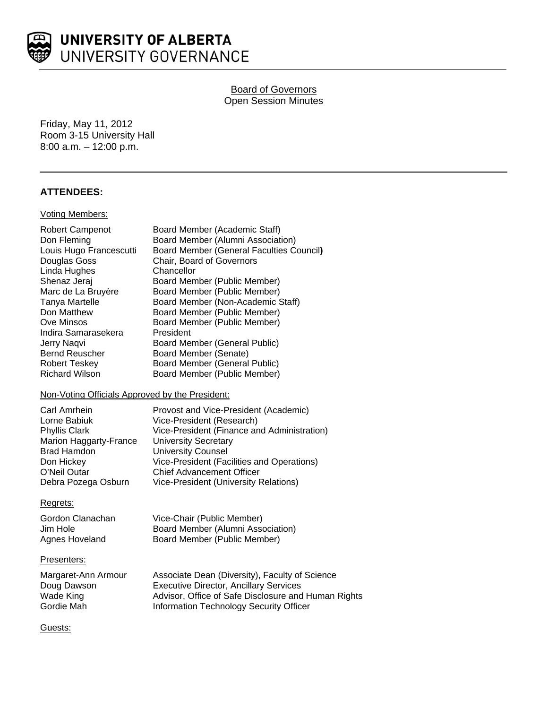

Board of Governors Open Session Minutes

Friday, May 11, 2012 Room 3-15 University Hall 8:00 a.m. – 12:00 p.m.

# **ATTENDEES:**

#### Voting Members:

| <b>Robert Campenot</b><br>Don Fleming<br>Louis Hugo Francescutti<br>Douglas Goss<br>Linda Hughes<br>Shenaz Jeraj<br>Marc de La Bruyère<br>Tanya Martelle<br>Don Matthew<br>Ove Minsos<br>Indira Samarasekera<br>Jerry Naqvi<br><b>Bernd Reuscher</b><br><b>Robert Teskey</b> | Board Member (Academic Staff)<br>Board Member (Alumni Association)<br>Board Member (General Faculties Council)<br>Chair, Board of Governors<br>Chancellor<br>Board Member (Public Member)<br>Board Member (Public Member)<br>Board Member (Non-Academic Staff)<br>Board Member (Public Member)<br>Board Member (Public Member)<br>President<br>Board Member (General Public)<br>Board Member (Senate)<br><b>Board Member (General Public)</b> |
|------------------------------------------------------------------------------------------------------------------------------------------------------------------------------------------------------------------------------------------------------------------------------|-----------------------------------------------------------------------------------------------------------------------------------------------------------------------------------------------------------------------------------------------------------------------------------------------------------------------------------------------------------------------------------------------------------------------------------------------|
| <b>Richard Wilson</b>                                                                                                                                                                                                                                                        | Board Member (Public Member)                                                                                                                                                                                                                                                                                                                                                                                                                  |
|                                                                                                                                                                                                                                                                              |                                                                                                                                                                                                                                                                                                                                                                                                                                               |

#### Non-Voting Officials Approved by the President:

| Provost and Vice-President (Academic)        |
|----------------------------------------------|
| Vice-President (Research)                    |
| Vice-President (Finance and Administration)  |
| <b>University Secretary</b>                  |
| <b>University Counsel</b>                    |
| Vice-President (Facilities and Operations)   |
| <b>Chief Advancement Officer</b>             |
| <b>Vice-President (University Relations)</b> |
|                                              |

#### Regrets:

Gordon Clanachan Vice-Chair (Public Member)<br>Jim Hole Board Member (Alumni Asso Jim Hole Board Member (Alumni Association)<br>Agnes Hoveland Board Member (Public Member) Board Member (Public Member)

#### Presenters:

| Margaret-Ann Armour | Associate Dean (Diversity), Faculty of Science      |
|---------------------|-----------------------------------------------------|
| Doug Dawson         | <b>Executive Director, Ancillary Services</b>       |
| Wade King           | Advisor, Office of Safe Disclosure and Human Rights |
| Gordie Mah          | Information Technology Security Officer             |

Guests: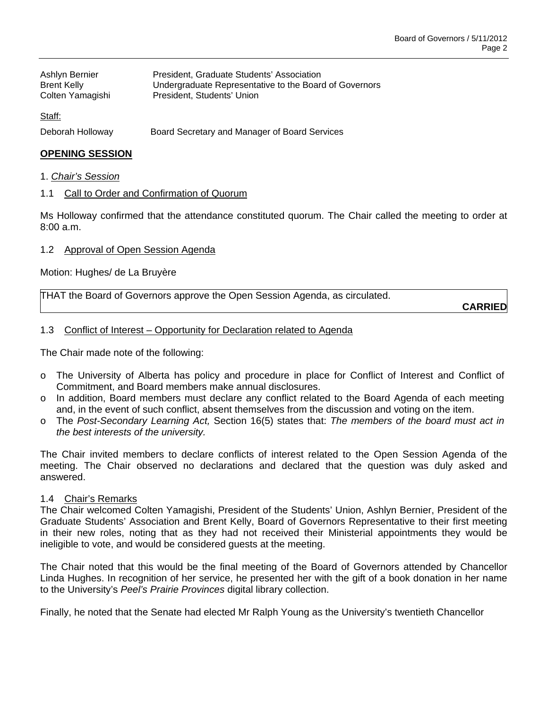| Ashlyn Bernier     | President, Graduate Students' Association              |
|--------------------|--------------------------------------------------------|
| <b>Brent Kelly</b> | Undergraduate Representative to the Board of Governors |
| Colten Yamagishi   | President, Students' Union                             |

Staff:

Deborah Holloway Board Secretary and Manager of Board Services

## **OPENING SESSION**

- 1. *Chair's Session*
- 1.1 Call to Order and Confirmation of Quorum

Ms Holloway confirmed that the attendance constituted quorum. The Chair called the meeting to order at 8:00 a.m.

1.2 Approval of Open Session Agenda

Motion: Hughes/ de La Bruyère

THAT the Board of Governors approve the Open Session Agenda, as circulated.

**CARRIED**

#### 1.3 Conflict of Interest – Opportunity for Declaration related to Agenda

The Chair made note of the following:

- o The University of Alberta has policy and procedure in place for Conflict of Interest and Conflict of Commitment, and Board members make annual disclosures.
- o In addition, Board members must declare any conflict related to the Board Agenda of each meeting and, in the event of such conflict, absent themselves from the discussion and voting on the item.
- o The *Post-Secondary Learning Act,* Section 16(5) states that: *The members of the board must act in the best interests of the university.*

The Chair invited members to declare conflicts of interest related to the Open Session Agenda of the meeting. The Chair observed no declarations and declared that the question was duly asked and answered.

### 1.4 Chair's Remarks

The Chair welcomed Colten Yamagishi, President of the Students' Union, Ashlyn Bernier, President of the Graduate Students' Association and Brent Kelly, Board of Governors Representative to their first meeting in their new roles, noting that as they had not received their Ministerial appointments they would be ineligible to vote, and would be considered guests at the meeting.

The Chair noted that this would be the final meeting of the Board of Governors attended by Chancellor Linda Hughes. In recognition of her service, he presented her with the gift of a book donation in her name to the University's *Peel's Prairie Provinces* digital library collection.

Finally, he noted that the Senate had elected Mr Ralph Young as the University's twentieth Chancellor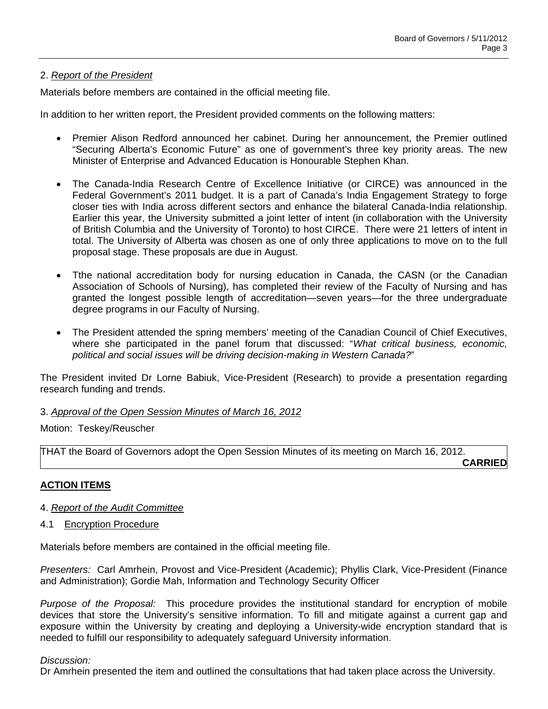# 2. *Report of the President*

Materials before members are contained in the official meeting file.

In addition to her written report, the President provided comments on the following matters:

- Premier Alison Redford announced her cabinet. During her announcement, the Premier outlined "Securing Alberta's Economic Future" as one of government's three key priority areas. The new Minister of Enterprise and Advanced Education is Honourable Stephen Khan.
- The Canada-India Research Centre of Excellence Initiative (or CIRCE) was announced in the Federal Government's 2011 budget. It is a part of Canada's India Engagement Strategy to forge closer ties with India across different sectors and enhance the bilateral Canada-India relationship. Earlier this year, the University submitted a joint letter of intent (in collaboration with the University of British Columbia and the University of Toronto) to host CIRCE. There were 21 letters of intent in total. The University of Alberta was chosen as one of only three applications to move on to the full proposal stage. These proposals are due in August.
- Tthe national accreditation body for nursing education in Canada, the CASN (or the Canadian Association of Schools of Nursing), has completed their review of the Faculty of Nursing and has granted the longest possible length of accreditation—seven years—for the three undergraduate degree programs in our Faculty of Nursing.
- The President attended the spring members' meeting of the Canadian Council of Chief Executives, where she participated in the panel forum that discussed: "*What critical business, economic, political and social issues will be driving decision-making in Western Canada?*"

The President invited Dr Lorne Babiuk, Vice-President (Research) to provide a presentation regarding research funding and trends.

### 3. *Approval of the Open Session Minutes of March 16, 2012*

Motion: Teskey/Reuscher

THAT the Board of Governors adopt the Open Session Minutes of its meeting on March 16, 2012.

**CARRIED**

# **ACTION ITEMS**

- 4. *Report of the Audit Committee*
- 4.1 Encryption Procedure

Materials before members are contained in the official meeting file.

*Presenters:* Carl Amrhein, Provost and Vice-President (Academic); Phyllis Clark, Vice-President (Finance and Administration); Gordie Mah, Information and Technology Security Officer

*Purpose of the Proposal:* This procedure provides the institutional standard for encryption of mobile devices that store the University's sensitive information. To fill and mitigate against a current gap and exposure within the University by creating and deploying a University-wide encryption standard that is needed to fulfill our responsibility to adequately safeguard University information.

### *Discussion:*

Dr Amrhein presented the item and outlined the consultations that had taken place across the University.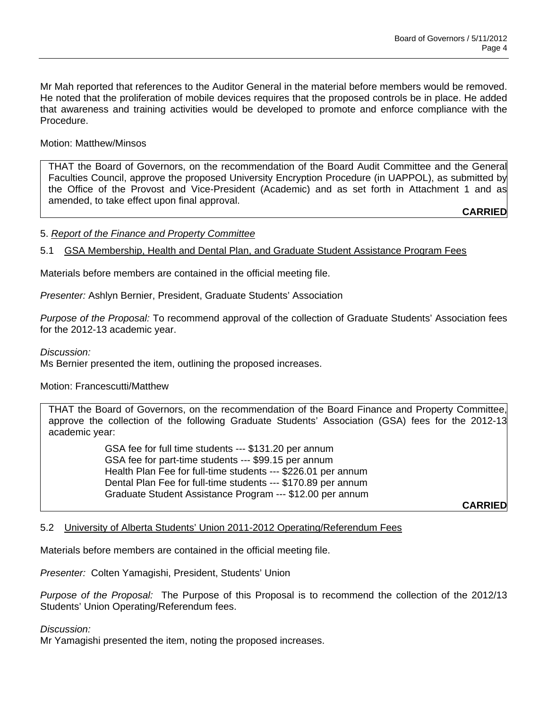Mr Mah reported that references to the Auditor General in the material before members would be removed. He noted that the proliferation of mobile devices requires that the proposed controls be in place. He added that awareness and training activities would be developed to promote and enforce compliance with the Procedure.

Motion: Matthew/Minsos

THAT the Board of Governors, on the recommendation of the Board Audit Committee and the General Faculties Council, approve the proposed University Encryption Procedure (in UAPPOL), as submitted by the Office of the Provost and Vice-President (Academic) and as set forth in Attachment 1 and as amended, to take effect upon final approval.

**CARRIED**

# 5. *Report of the Finance and Property Committee*

# 5.1 GSA Membership, Health and Dental Plan, and Graduate Student Assistance Program Fees

Materials before members are contained in the official meeting file.

*Presenter:* Ashlyn Bernier, President, Graduate Students' Association

*Purpose of the Proposal:* To recommend approval of the collection of Graduate Students' Association fees for the 2012-13 academic year.

### *Discussion:*

Ms Bernier presented the item, outlining the proposed increases.

Motion: Francescutti/Matthew

THAT the Board of Governors, on the recommendation of the Board Finance and Property Committee, approve the collection of the following Graduate Students' Association (GSA) fees for the 2012-13 academic year:

> GSA fee for full time students --- \$131.20 per annum GSA fee for part-time students --- \$99.15 per annum Health Plan Fee for full-time students --- \$226.01 per annum Dental Plan Fee for full-time students --- \$170.89 per annum Graduate Student Assistance Program --- \$12.00 per annum

**CARRIED**

### 5.2 University of Alberta Students' Union 2011-2012 Operating/Referendum Fees

Materials before members are contained in the official meeting file.

*Presenter:* Colten Yamagishi, President, Students' Union

*Purpose of the Proposal:* The Purpose of this Proposal is to recommend the collection of the 2012/13 Students' Union Operating/Referendum fees.

### *Discussion:*

Mr Yamagishi presented the item, noting the proposed increases.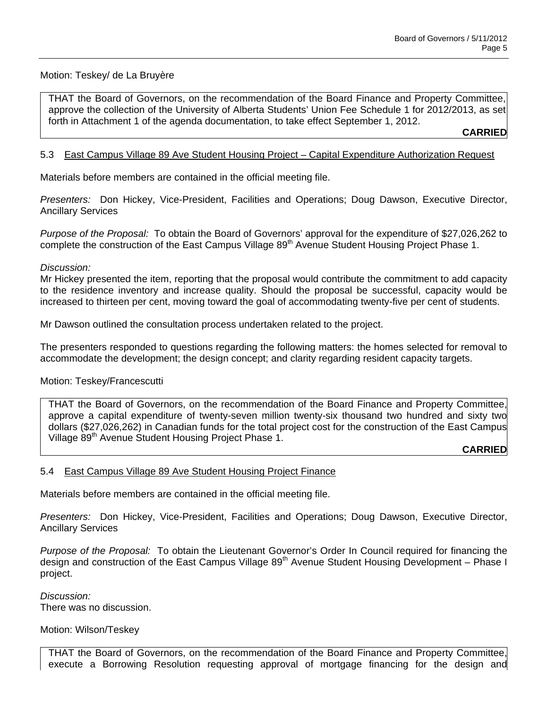## Motion: Teskey/ de La Bruyère

THAT the Board of Governors, on the recommendation of the Board Finance and Property Committee, approve the collection of the University of Alberta Students' Union Fee Schedule 1 for 2012/2013, as set forth in Attachment 1 of the agenda documentation, to take effect September 1, 2012.

**CARRIED**

## 5.3 East Campus Village 89 Ave Student Housing Project – Capital Expenditure Authorization Request

Materials before members are contained in the official meeting file.

*Presenters:* Don Hickey, Vice-President, Facilities and Operations; Doug Dawson, Executive Director, Ancillary Services

*Purpose of the Proposal:* To obtain the Board of Governors' approval for the expenditure of \$27,026,262 to complete the construction of the East Campus Village 89<sup>th</sup> Avenue Student Housing Project Phase 1.

#### *Discussion:*

Mr Hickey presented the item, reporting that the proposal would contribute the commitment to add capacity to the residence inventory and increase quality. Should the proposal be successful, capacity would be increased to thirteen per cent, moving toward the goal of accommodating twenty-five per cent of students.

Mr Dawson outlined the consultation process undertaken related to the project.

The presenters responded to questions regarding the following matters: the homes selected for removal to accommodate the development; the design concept; and clarity regarding resident capacity targets.

### Motion: Teskey/Francescutti

THAT the Board of Governors, on the recommendation of the Board Finance and Property Committee, approve a capital expenditure of twenty-seven million twenty-six thousand two hundred and sixty two dollars (\$27,026,262) in Canadian funds for the total project cost for the construction of the East Campus Village 89<sup>th</sup> Avenue Student Housing Project Phase 1.

**CARRIED**

### 5.4 East Campus Village 89 Ave Student Housing Project Finance

Materials before members are contained in the official meeting file.

*Presenters:* Don Hickey, Vice-President, Facilities and Operations; Doug Dawson, Executive Director, Ancillary Services

*Purpose of the Proposal:* To obtain the Lieutenant Governor's Order In Council required for financing the design and construction of the East Campus Village 89<sup>th</sup> Avenue Student Housing Development – Phase I project.

*Discussion:*  There was no discussion.

Motion: Wilson/Teskey

THAT the Board of Governors, on the recommendation of the Board Finance and Property Committee, execute a Borrowing Resolution requesting approval of mortgage financing for the design and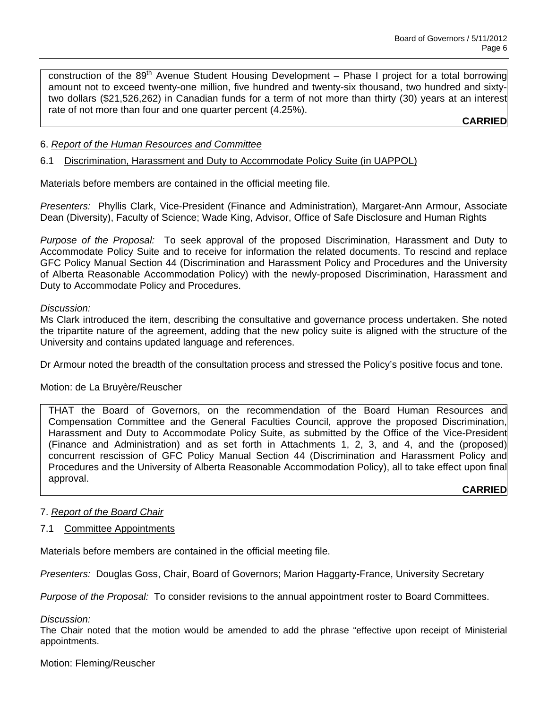construction of the 89<sup>th</sup> Avenue Student Housing Development - Phase I project for a total borrowing amount not to exceed twenty-one million, five hundred and twenty-six thousand, two hundred and sixtytwo dollars (\$21,526,262) in Canadian funds for a term of not more than thirty (30) years at an interest rate of not more than four and one quarter percent (4.25%).

# **CARRIED**

## 6. *Report of the Human Resources and Committee*

# 6.1 Discrimination, Harassment and Duty to Accommodate Policy Suite (in UAPPOL)

Materials before members are contained in the official meeting file.

*Presenters:* Phyllis Clark, Vice-President (Finance and Administration), Margaret-Ann Armour, Associate Dean (Diversity), Faculty of Science; Wade King, Advisor, Office of Safe Disclosure and Human Rights

*Purpose of the Proposal:* To seek approval of the proposed Discrimination, Harassment and Duty to Accommodate Policy Suite and to receive for information the related documents. To rescind and replace GFC Policy Manual Section 44 (Discrimination and Harassment Policy and Procedures and the University of Alberta Reasonable Accommodation Policy) with the newly-proposed Discrimination, Harassment and Duty to Accommodate Policy and Procedures.

### *Discussion:*

Ms Clark introduced the item, describing the consultative and governance process undertaken. She noted the tripartite nature of the agreement, adding that the new policy suite is aligned with the structure of the University and contains updated language and references.

Dr Armour noted the breadth of the consultation process and stressed the Policy's positive focus and tone.

### Motion: de La Bruyère/Reuscher

THAT the Board of Governors, on the recommendation of the Board Human Resources and Compensation Committee and the General Faculties Council, approve the proposed Discrimination, Harassment and Duty to Accommodate Policy Suite, as submitted by the Office of the Vice-President (Finance and Administration) and as set forth in Attachments 1, 2, 3, and 4, and the (proposed) concurrent rescission of GFC Policy Manual Section 44 (Discrimination and Harassment Policy and Procedures and the University of Alberta Reasonable Accommodation Policy), all to take effect upon final approval.

**CARRIED**

### 7. *Report of the Board Chair*

### 7.1 Committee Appointments

Materials before members are contained in the official meeting file.

*Presenters:* Douglas Goss, Chair, Board of Governors; Marion Haggarty-France, University Secretary

*Purpose of the Proposal:* To consider revisions to the annual appointment roster to Board Committees.

*Discussion:* 

The Chair noted that the motion would be amended to add the phrase "effective upon receipt of Ministerial appointments.

### Motion: Fleming/Reuscher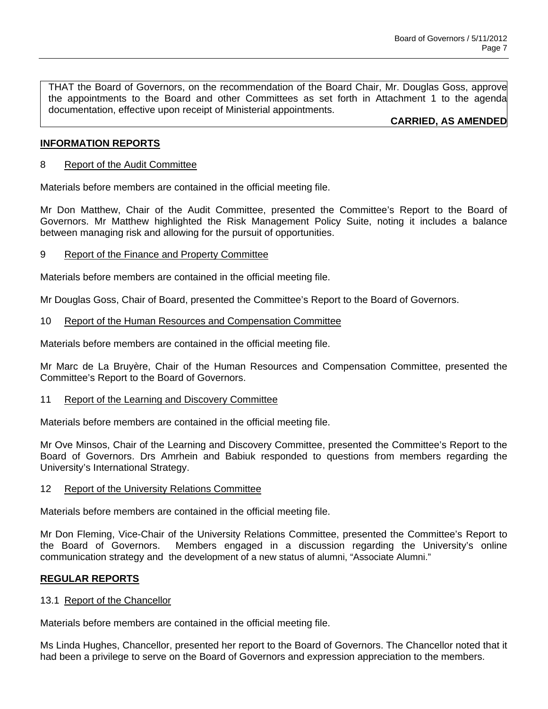THAT the Board of Governors, on the recommendation of the Board Chair, Mr. Douglas Goss, approve the appointments to the Board and other Committees as set forth in Attachment 1 to the agenda documentation, effective upon receipt of Ministerial appointments.

**CARRIED, AS AMENDED**

## **INFORMATION REPORTS**

### 8 Report of the Audit Committee

Materials before members are contained in the official meeting file.

Mr Don Matthew, Chair of the Audit Committee, presented the Committee's Report to the Board of Governors. Mr Matthew highlighted the Risk Management Policy Suite, noting it includes a balance between managing risk and allowing for the pursuit of opportunities.

#### 9 Report of the Finance and Property Committee

Materials before members are contained in the official meeting file.

Mr Douglas Goss, Chair of Board, presented the Committee's Report to the Board of Governors.

#### 10 Report of the Human Resources and Compensation Committee

Materials before members are contained in the official meeting file.

Mr Marc de La Bruyère, Chair of the Human Resources and Compensation Committee, presented the Committee's Report to the Board of Governors.

#### 11 Report of the Learning and Discovery Committee

Materials before members are contained in the official meeting file.

Mr Ove Minsos, Chair of the Learning and Discovery Committee, presented the Committee's Report to the Board of Governors. Drs Amrhein and Babiuk responded to questions from members regarding the University's International Strategy.

#### 12 Report of the University Relations Committee

Materials before members are contained in the official meeting file.

Mr Don Fleming, Vice-Chair of the University Relations Committee, presented the Committee's Report to the Board of Governors. Members engaged in a discussion regarding the University's online communication strategy and the development of a new status of alumni, "Associate Alumni."

### **REGULAR REPORTS**

#### 13.1 Report of the Chancellor

Materials before members are contained in the official meeting file.

Ms Linda Hughes, Chancellor, presented her report to the Board of Governors. The Chancellor noted that it had been a privilege to serve on the Board of Governors and expression appreciation to the members.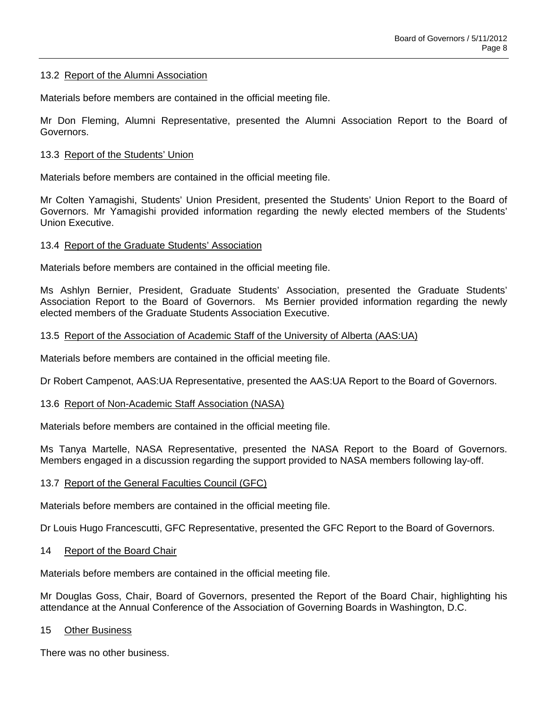### 13.2 Report of the Alumni Association

Materials before members are contained in the official meeting file.

Mr Don Fleming, Alumni Representative, presented the Alumni Association Report to the Board of Governors.

## 13.3 Report of the Students' Union

Materials before members are contained in the official meeting file.

Mr Colten Yamagishi, Students' Union President, presented the Students' Union Report to the Board of Governors. Mr Yamagishi provided information regarding the newly elected members of the Students' Union Executive.

### 13.4 Report of the Graduate Students' Association

Materials before members are contained in the official meeting file.

Ms Ashlyn Bernier, President, Graduate Students' Association, presented the Graduate Students' Association Report to the Board of Governors. Ms Bernier provided information regarding the newly elected members of the Graduate Students Association Executive.

### 13.5 Report of the Association of Academic Staff of the University of Alberta (AAS:UA)

Materials before members are contained in the official meeting file.

Dr Robert Campenot, AAS:UA Representative, presented the AAS:UA Report to the Board of Governors.

### 13.6 Report of Non-Academic Staff Association (NASA)

Materials before members are contained in the official meeting file.

Ms Tanya Martelle, NASA Representative, presented the NASA Report to the Board of Governors. Members engaged in a discussion regarding the support provided to NASA members following lay-off.

# 13.7 Report of the General Faculties Council (GFC)

Materials before members are contained in the official meeting file.

Dr Louis Hugo Francescutti, GFC Representative, presented the GFC Report to the Board of Governors.

## 14 Report of the Board Chair

Materials before members are contained in the official meeting file.

Mr Douglas Goss, Chair, Board of Governors, presented the Report of the Board Chair, highlighting his attendance at the Annual Conference of the Association of Governing Boards in Washington, D.C.

### 15 Other Business

There was no other business.